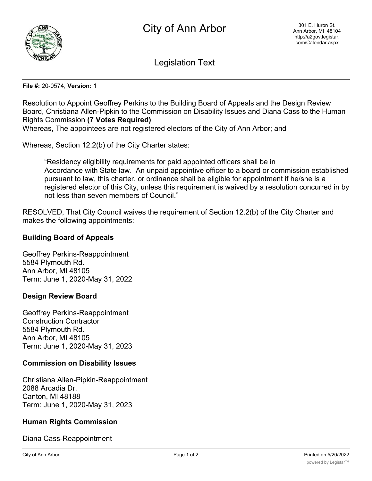

Legislation Text

#### **File #:** 20-0574, **Version:** 1

Resolution to Appoint Geoffrey Perkins to the Building Board of Appeals and the Design Review Board, Christiana Allen-Pipkin to the Commission on Disability Issues and Diana Cass to the Human Rights Commission **(7 Votes Required)**

Whereas, The appointees are not registered electors of the City of Ann Arbor; and

Whereas, Section 12.2(b) of the City Charter states:

"Residency eligibility requirements for paid appointed officers shall be in Accordance with State law. An unpaid appointive officer to a board or commission established pursuant to law, this charter, or ordinance shall be eligible for appointment if he/she is a registered elector of this City, unless this requirement is waived by a resolution concurred in by not less than seven members of Council."

RESOLVED, That City Council waives the requirement of Section 12.2(b) of the City Charter and makes the following appointments:

## **Building Board of Appeals**

Geoffrey Perkins-Reappointment 5584 Plymouth Rd. Ann Arbor, MI 48105 Term: June 1, 2020-May 31, 2022

### **Design Review Board**

Geoffrey Perkins-Reappointment Construction Contractor 5584 Plymouth Rd. Ann Arbor, MI 48105 Term: June 1, 2020-May 31, 2023

### **Commission on Disability Issues**

Christiana Allen-Pipkin-Reappointment 2088 Arcadia Dr. Canton, MI 48188 Term: June 1, 2020-May 31, 2023

# **Human Rights Commission**

Diana Cass-Reappointment